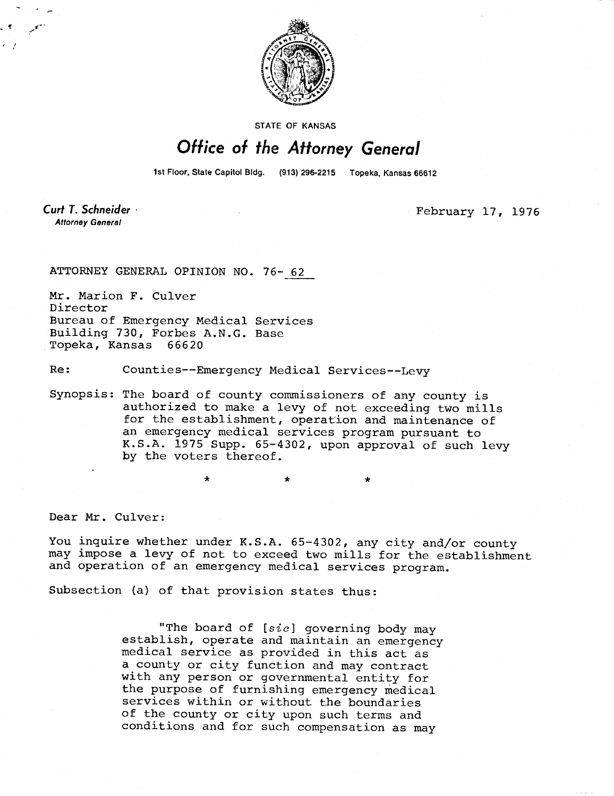

STATE OF KANSAS

## Office of the Attorney General

1st Floor, State Capitol Bldg. (913) 296-2215 Topeka, Kansas 66612

**Curt T. Schneider Attorney General** 

February 17, 1976

ATTORNEY GENERAL OPINION NO. 76- 62

Mr. Marion F. Culver Director Bureau of Emergency Medical Services Building 730, Forbes A.N.G. Base Topeka, Kansas 66620

Re: Counties--Emergency Medical Services--Levy

Synopsis: The board of county commissioners of any county is authorized to make a levy of not exceeding two mills for the establishment, operation and maintenance of an emergency medical services program pursuant to K.S.A. 1975 Supp. 65-4302, upon approval of such levy by the voters thereof.

Dear Mr. Culver:

You inquire whether under K.S.A. 65-4302, any city and/or county may impose a levy of not to exceed two mills for the establishment and operation of an emergency medical services program.

Subsection (a) of that provision states thus:

"The board of  $[sic]$  governing body may establish, operate and maintain an emergency medical service as provided in this act as a county or city function and may contract with any person or governmental entity for the purpose of furnishing emergency medical services within or without the boundaries of the county or city upon such terms and conditions and for such compensation as may